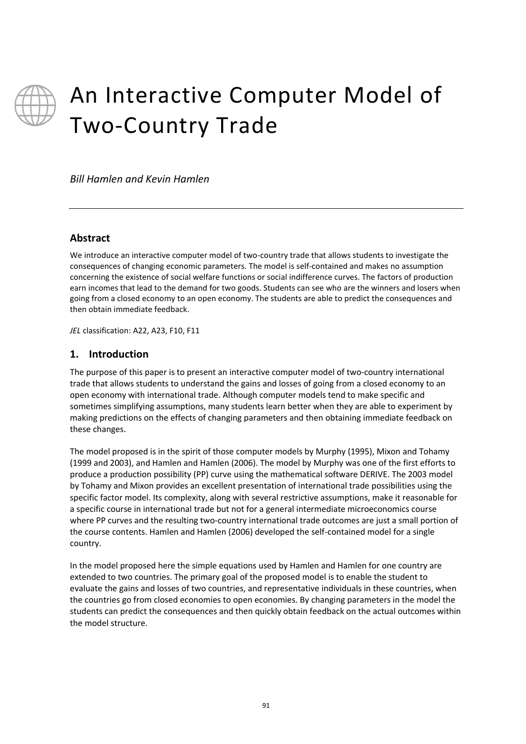

# An Interactive Computer Model of Two-Country Trade

*Bill Hamlen and Kevin Hamlen*

## **Abstract**

We introduce an interactive computer model of two-country trade that allows students to investigate the consequences of changing economic parameters. The model is self-contained and makes no assumption concerning the existence of social welfare functions or social indifference curves. The factors of production earn incomes that lead to the demand for two goods. Students can see who are the winners and losers when going from a closed economy to an open economy. The students are able to predict the consequences and then obtain immediate feedback.

*JEL* classification: A22, A23, F10, F11

## **1. Introduction**

The purpose of this paper is to present an interactive computer model of two-country international trade that allows students to understand the gains and losses of going from a closed economy to an open economy with international trade. Although computer models tend to make specific and sometimes simplifying assumptions, many students learn better when they are able to experiment by making predictions on the effects of changing parameters and then obtaining immediate feedback on these changes.

The model proposed is in the spirit of those computer models by Murphy (1995), Mixon and Tohamy (1999 and 2003), and Hamlen and Hamlen (2006). The model by Murphy was one of the first efforts to produce a production possibility (PP) curve using the mathematical software DERIVE. The 2003 model by Tohamy and Mixon provides an excellent presentation of international trade possibilities using the specific factor model. Its complexity, along with several restrictive assumptions, make it reasonable for a specific course in international trade but not for a general intermediate microeconomics course where PP curves and the resulting two-country international trade outcomes are just a small portion of the course contents. Hamlen and Hamlen (2006) developed the self-contained model for a single country.

In the model proposed here the simple equations used by Hamlen and Hamlen for one country are extended to two countries. The primary goal of the proposed model is to enable the student to evaluate the gains and losses of two countries, and representative individuals in these countries, when the countries go from closed economies to open economies. By changing parameters in the model the students can predict the consequences and then quickly obtain feedback on the actual outcomes within the model structure.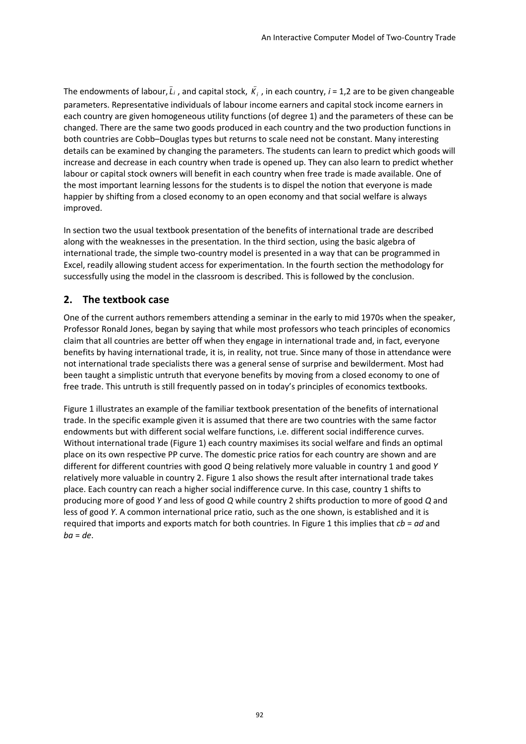The endowments of labour,  $\bar{L}_i$  , and capital stock,  $\bar{K_i}$  , in each country,  $i$  = 1,2 are to be given changeable parameters. Representative individuals of labour income earners and capital stock income earners in each country are given homogeneous utility functions (of degree 1) and the parameters of these can be changed. There are the same two goods produced in each country and the two production functions in both countries are Cobb–Douglas types but returns to scale need not be constant. Many interesting details can be examined by changing the parameters. The students can learn to predict which goods will increase and decrease in each country when trade is opened up. They can also learn to predict whether labour or capital stock owners will benefit in each country when free trade is made available. One of the most important learning lessons for the students is to dispel the notion that everyone is made happier by shifting from a closed economy to an open economy and that social welfare is always improved.

In section two the usual textbook presentation of the benefits of international trade are described along with the weaknesses in the presentation. In the third section, using the basic algebra of international trade, the simple two-country model is presented in a way that can be programmed in Excel, readily allowing student access for experimentation. In the fourth section the methodology for successfully using the model in the classroom is described. This is followed by the conclusion.

# **2. The textbook case**

One of the current authors remembers attending a seminar in the early to mid 1970s when the speaker, Professor Ronald Jones, began by saying that while most professors who teach principles of economics claim that all countries are better off when they engage in international trade and, in fact, everyone benefits by having international trade, it is, in reality, not true. Since many of those in attendance were not international trade specialists there was a general sense of surprise and bewilderment. Most had been taught a simplistic untruth that everyone benefits by moving from a closed economy to one of free trade. This untruth is still frequently passed on in today's principles of economics textbooks.

Figure 1 illustrates an example of the familiar textbook presentation of the benefits of international trade. In the specific example given it is assumed that there are two countries with the same factor endowments but with different social welfare functions, i.e. different social indifference curves. Without international trade (Figure 1) each country maximises its social welfare and finds an optimal place on its own respective PP curve. The domestic price ratios for each country are shown and are different for different countries with good *Q* being relatively more valuable in country 1 and good *Y* relatively more valuable in country 2. Figure 1 also shows the result after international trade takes place. Each country can reach a higher social indifference curve. In this case, country 1 shifts to producing more of good *Y* and less of good *Q* while country 2 shifts production to more of good *Q* and less of good *Y*. A common international price ratio, such as the one shown, is established and it is required that imports and exports match for both countries. In Figure 1 this implies that *cb* = *ad* and *ba* = *de*.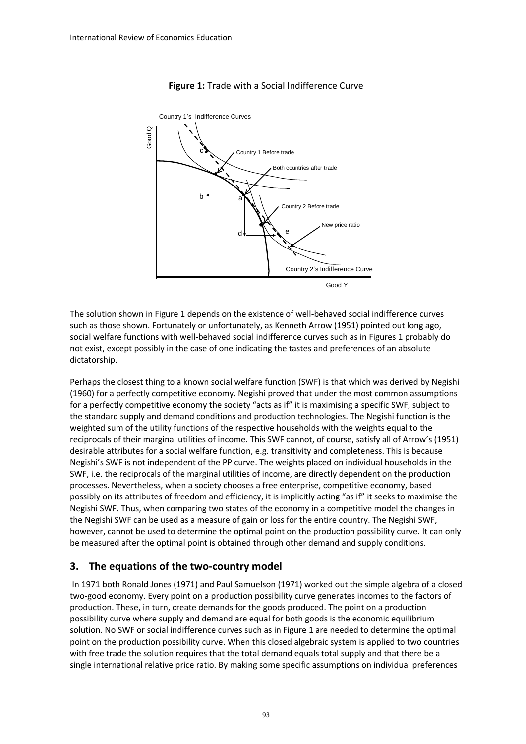

#### **Figure 1:** Trade with a Social Indifference Curve

The solution shown in Figure 1 depends on the existence of well-behaved social indifference curves such as those shown. Fortunately or unfortunately, as Kenneth Arrow (1951) pointed out long ago, social welfare functions with well-behaved social indifference curves such as in Figures 1 probably do not exist, except possibly in the case of one indicating the tastes and preferences of an absolute dictatorship.

Perhaps the closest thing to a known social welfare function (SWF) is that which was derived by Negishi (1960) for a perfectly competitive economy. Negishi proved that under the most common assumptions for a perfectly competitive economy the society "acts as if" it is maximising a specific SWF, subject to the standard supply and demand conditions and production technologies. The Negishi function is the weighted sum of the utility functions of the respective households with the weights equal to the reciprocals of their marginal utilities of income. This SWF cannot, of course, satisfy all of Arrow's (1951) desirable attributes for a social welfare function, e.g. transitivity and completeness. This is because Negishi's SWF is not independent of the PP curve. The weights placed on individual households in the SWF, i.e. the reciprocals of the marginal utilities of income, are directly dependent on the production processes. Nevertheless, when a society chooses a free enterprise, competitive economy, based possibly on its attributes of freedom and efficiency, it is implicitly acting "as if" it seeks to maximise the Negishi SWF. Thus, when comparing two states of the economy in a competitive model the changes in the Negishi SWF can be used as a measure of gain or loss for the entire country. The Negishi SWF, however, cannot be used to determine the optimal point on the production possibility curve. It can only be measured after the optimal point is obtained through other demand and supply conditions.

## **3. The equations of the two-country model**

In 1971 both Ronald Jones (1971) and Paul Samuelson (1971) worked out the simple algebra of a closed two-good economy. Every point on a production possibility curve generates incomes to the factors of production. These, in turn, create demands for the goods produced. The point on a production possibility curve where supply and demand are equal for both goods is the economic equilibrium solution. No SWF or social indifference curves such as in Figure 1 are needed to determine the optimal point on the production possibility curve. When this closed algebraic system is applied to two countries with free trade the solution requires that the total demand equals total supply and that there be a single international relative price ratio. By making some specific assumptions on individual preferences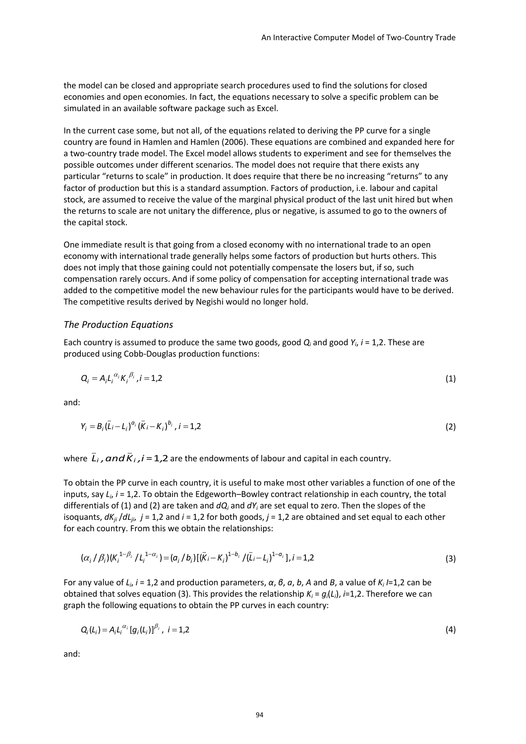the model can be closed and appropriate search procedures used to find the solutions for closed economies and open economies. In fact, the equations necessary to solve a specific problem can be simulated in an available software package such as Excel.

In the current case some, but not all, of the equations related to deriving the PP curve for a single country are found in Hamlen and Hamlen (2006). These equations are combined and expanded here for a two-country trade model. The Excel model allows students to experiment and see for themselves the possible outcomes under different scenarios. The model does not require that there exists any particular "returns to scale" in production. It does require that there be no increasing "returns" to any factor of production but this is a standard assumption. Factors of production, i.e. labour and capital stock, are assumed to receive the value of the marginal physical product of the last unit hired but when the returns to scale are not unitary the difference, plus or negative, is assumed to go to the owners of the capital stock.

One immediate result is that going from a closed economy with no international trade to an open economy with international trade generally helps some factors of production but hurts others. This does not imply that those gaining could not potentially compensate the losers but, if so, such compensation rarely occurs. And if some policy of compensation for accepting international trade was added to the competitive model the new behaviour rules for the participants would have to be derived. The competitive results derived by Negishi would no longer hold.

#### *The Production Equations*

Each country is assumed to produce the same two goods, good *Q<sup>i</sup>* and good *Y<sup>i</sup>* , *i* = 1,2. These are produced using Cobb-Douglas production functions:

$$
Q_i = A_i L_i^{\alpha_i} K_i^{\beta_i}, i = 1,2
$$
 (1)

and:

$$
Y_i = B_i (\bar{L}_i - L_i)^{\sigma_i} (\bar{K}_i - K_i)^{b_i}, i = 1,2
$$
\n(2)

where  $\bar{L}_i$  *, and*  $\bar{K}_i$  *, i* = 1,2 *i \_* are the endowments of labour and capital in each country.

To obtain the PP curve in each country, it is useful to make most other variables a function of one of the inputs, say *L<sub>i</sub>*, *i* = 1,2. To obtain the Edgeworth–Bowley contract relationship in each country, the total differentials of (1) and (2) are taken and *dQ<sup>i</sup>* and *dY<sup>i</sup>* are set equal to zero. Then the slopes of the isoquants,  $dK_{ii}/dL_{ii}$ ,  $j = 1,2$  and  $i = 1,2$  for both goods,  $j = 1,2$  are obtained and set equal to each other for each country. From this we obtain the relationships:

$$
(\alpha_i/\beta_i)(K_i^{1-\beta_i}/L_i^{1-\alpha_i}) = (\alpha_i/b_i)[(\bar{K}_i - K_i)^{1-b_i}/(\bar{L}_i - L_i)^{1-\alpha_i}], i = 1,2
$$
\n(3)

For any value of *L<sup>i</sup>* , *i* = 1,2 and production parameters, *α*, *β*, *a*, *b*, *A* and *B*, a value of *K<sup>i</sup> I*=1,2 can be obtained that solves equation (3). This provides the relationship  $K_i = g_i(L_i)$ , *i*=1,2. Therefore we can graph the following equations to obtain the PP curves in each country:

$$
Q_i(L_i) = A_i L_i^{\alpha_i} [g_i(L_i)]^{\beta_i}, \quad i = 1, 2
$$
\n(4)

and: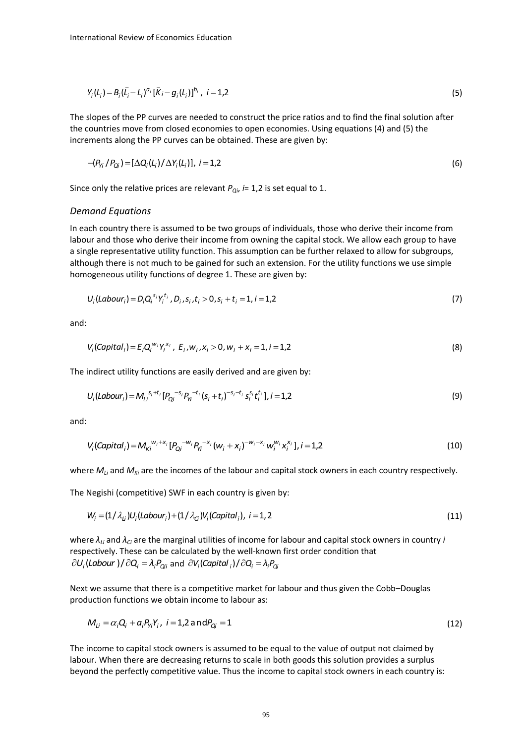$$
Y_i(L_i) = B_i(\bar{L_i} - L_i)^{a_i} [\bar{K_i} - g_i(L_i)]^{b_i}, \quad i = 1, 2
$$
\n(5)

The slopes of the PP curves are needed to construct the price ratios and to find the final solution after the countries move from closed economies to open economies. Using equations (4) and (5) the increments along the PP curves can be obtained. These are given by:

$$
-(P_{Y_i}/P_{Q_i}) = [\Delta Q_i(L_i)/\Delta Y_i(L_i)], i = 1,2
$$
\n
$$
(6)
$$

Since only the relative prices are relevant  $P_{Qi}$ ,  $i=1,2$  is set equal to 1.

#### *Demand Equations*

( $L_i$ ) = B,  $(L_i - L_i)^{t_i}$ ;  $(K_i - g_i(L_i))^{t_i}$ ,  $i = 1,2$ <br>
opes of the PP curves are needed to construct tuntries move from closed economies to open e<br>
enters along the PP curves can be obtained. The<br>  $(R_i/R_3) = [\Delta Q_i(L_i)/\Delta Y_i(L_i)]$ ,  $i$ In each country there is assumed to be two groups of individuals, those who derive their income from labour and those who derive their income from owning the capital stock. We allow each group to have a single representative utility function. This assumption can be further relaxed to allow for subgroups, although there is not much to be gained for such an extension. For the utility functions we use simple homogeneous utility functions of degree 1. These are given by:

$$
U_i(Labour_i) = D_i Q_i^{s_i} Y_i^{t_i}, D_i, s_i, t_i > 0, s_i + t_i = 1, i = 1,2
$$
\n(7)

and:

$$
V_i(Capital_i) = E_i Q_i^{w_i} Y_i^{x_i}, E_i, w_i, x_i > 0, w_i + x_i = 1, i = 1,2
$$
\n(8)

The indirect utility functions are easily derived and are given by:

$$
U_i(Labour_i) = M_{Li}^{s_i + t_i} [P_{Qi}^{-s_i} P_{Vi}^{-t_i} (s_i + t_i)^{-s_i + t_i} s_i^{s_i} t_i^{t_i}], i = 1,2
$$
\n(9)

and:

$$
V_i \left( \text{Capital}_i \right) = M_{Ki}^{w_i + x_i} \left[ P_{Qi}^{-w_i} P_{Ki}^{-x_i} \left( w_i + x_i \right)^{-w_i - x_i} w_i^{w_i} x_i^{x_i} \right], i = 1, 2
$$
\n
$$
(10)
$$

where *MLi* and *MKi* are the incomes of the labour and capital stock owners in each country respectively.

The Negishi (competitive) SWF in each country is given by:

$$
W_i = (1/\lambda_{li})U_i (Labour_i) + (1/\lambda_{ci})V_i (Capital_i), i = 1,2
$$
\n(11)

where  $\lambda_i$  and  $\lambda_c$  are the marginal utilities of income for labour and capital stock owners in country *i* respectively. These can be calculated by the well-known first order condition that  $\partial U_i$ (Labour )/ $\partial Q_i = \lambda_i P_{Qji}$  and  $\partial V_i$ (Capital  $_i$ )/ $\partial Q_i = \lambda_i P_{Qij}$ 

Next we assume that there is a competitive market for labour and thus given the Cobb–Douglas production functions we obtain income to labour as:

$$
M_{\mathcal{L}} = \alpha_i \mathbf{Q}_i + a_i P_{\mathcal{V}_i} Y_i, \quad i = 1, 2 \text{ and } P_{\mathcal{Q}} = 1 \tag{12}
$$

The income to capital stock owners is assumed to be equal to the value of output not claimed by labour. When there are decreasing returns to scale in both goods this solution provides a surplus beyond the perfectly competitive value. Thus the income to capital stock owners in each country is: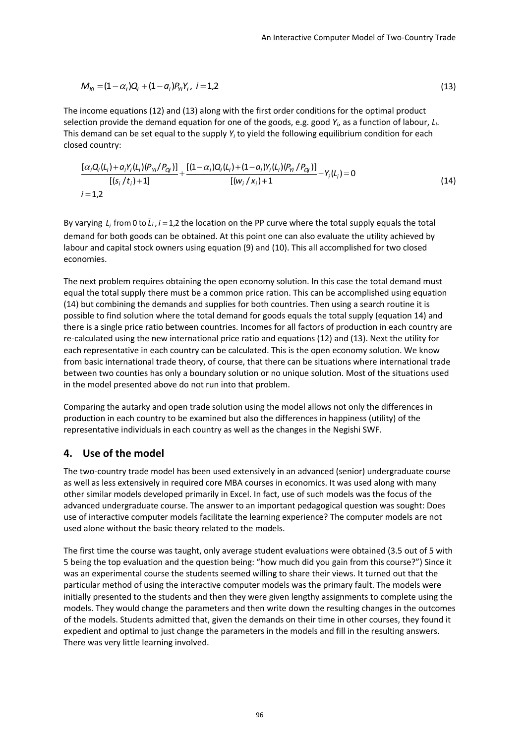$$
M_{ki} = (1 - \alpha_i)Q_i + (1 - \alpha_i)P_{Yi}Y_i, \ i = 1,2
$$
\n(13)

The income equations (12) and (13) along with the first order conditions for the optimal product selection provide the demand equation for one of the goods, e.g. good *Y<sup>i</sup>* , as a function of labour, *L<sup>i</sup>* . This demand can be set equal to the supply *Y<sup>i</sup>* to yield the following equilibrium condition for each closed country:

$$
\frac{[\alpha_i Q_i(l_i) + \alpha_i Y_i(l_i)(P_{Y_i}/P_{Q_i})]}{[(s_i/t_i) + 1]} + \frac{[(1 - \alpha_i)Q_i(l_i) + (1 - \alpha_i)Y_i(l_i)(P_{Y_i}/P_{Q_i})]}{[(w_i/x_i) + 1]} - Y_i(l_i) = 0
$$
\n(14)

By varying  $L_i$  from 0 to  $\overline{L}_i$ ,  $i = 1,2$  the location on the PP curve where the total supply equals the total demand for both goods can be obtained. At this point one can also evaluate the utility achieved by labour and capital stock owners using equation (9) and (10). This all accomplished for two closed economies.

 $M_{\text{M}} = (1 - \alpha_i)Q_i + (1 - \alpha_i)P_{\text{H}}Y_i$ ,  $i = 1,2$ <br>income equations (12) and (13) along with the firition provide the demand equation for one of the<br>income make bet equal to the supply  $Y_i$  to yield<br>edemand can be set equal t The next problem requires obtaining the open economy solution. In this case the total demand must equal the total supply there must be a common price ration. This can be accomplished using equation (14) but combining the demands and supplies for both countries. Then using a search routine it is possible to find solution where the total demand for goods equals the total supply (equation 14) and there is a single price ratio between countries. Incomes for all factors of production in each country are re-calculated using the new international price ratio and equations (12) and (13). Next the utility for each representative in each country can be calculated. This is the open economy solution. We know from basic international trade theory, of course, that there can be situations where international trade between two counties has only a boundary solution or no unique solution. Most of the situations used in the model presented above do not run into that problem.

Comparing the autarky and open trade solution using the model allows not only the differences in production in each country to be examined but also the differences in happiness (utility) of the representative individuals in each country as well as the changes in the Negishi SWF.

## **4. Use of the model**

The two-country trade model has been used extensively in an advanced (senior) undergraduate course as well as less extensively in required core MBA courses in economics. It was used along with many other similar models developed primarily in Excel. In fact, use of such models was the focus of the advanced undergraduate course. The answer to an important pedagogical question was sought: Does use of interactive computer models facilitate the learning experience? The computer models are not used alone without the basic theory related to the models.

The first time the course was taught, only average student evaluations were obtained (3.5 out of 5 with 5 being the top evaluation and the question being: "how much did you gain from this course?") Since it was an experimental course the students seemed willing to share their views. It turned out that the particular method of using the interactive computer models was the primary fault. The models were initially presented to the students and then they were given lengthy assignments to complete using the models. They would change the parameters and then write down the resulting changes in the outcomes of the models. Students admitted that, given the demands on their time in other courses, they found it expedient and optimal to just change the parameters in the models and fill in the resulting answers. There was very little learning involved.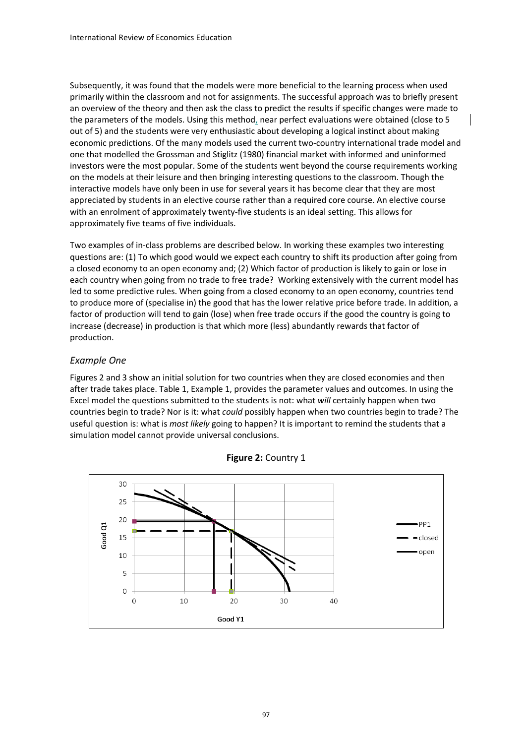Subsequently, it was found that the models were more beneficial to the learning process when used primarily within the classroom and not for assignments. The successful approach was to briefly present an overview of the theory and then ask the class to predict the results if specific changes were made to the parameters of the models. Using this method, near perfect evaluations were obtained (close to 5 out of 5) and the students were very enthusiastic about developing a logical instinct about making economic predictions. Of the many models used the current two-country international trade model and one that modelled the Grossman and Stiglitz (1980) financial market with informed and uninformed investors were the most popular. Some of the students went beyond the course requirements working on the models at their leisure and then bringing interesting questions to the classroom. Though the interactive models have only been in use for several years it has become clear that they are most appreciated by students in an elective course rather than a required core course. An elective course with an enrolment of approximately twenty-five students is an ideal setting. This allows for approximately five teams of five individuals.

Two examples of in-class problems are described below. In working these examples two interesting questions are: (1) To which good would we expect each country to shift its production after going from a closed economy to an open economy and; (2) Which factor of production is likely to gain or lose in each country when going from no trade to free trade? Working extensively with the current model has led to some predictive rules. When going from a closed economy to an open economy, countries tend to produce more of (specialise in) the good that has the lower relative price before trade. In addition, a factor of production will tend to gain (lose) when free trade occurs if the good the country is going to increase (decrease) in production is that which more (less) abundantly rewards that factor of production.

## *Example One*

Figures 2 and 3 show an initial solution for two countries when they are closed economies and then after trade takes place. Table 1, Example 1, provides the parameter values and outcomes. In using the Excel model the questions submitted to the students is not: what *will* certainly happen when two countries begin to trade? Nor is it: what *could* possibly happen when two countries begin to trade? The useful question is: what is *most likely* going to happen? It is important to remind the students that a simulation model cannot provide universal conclusions.



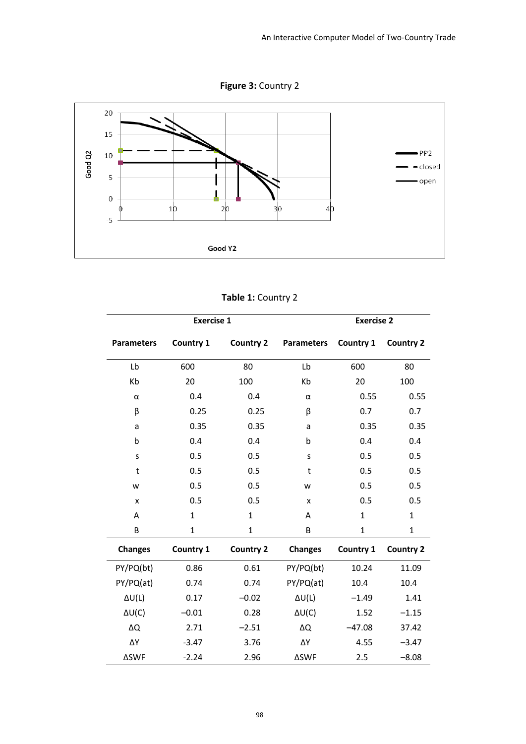**Figure 3:** Country 2



| <b>Exercise 1</b>         |             |                  |                           | <b>Exercise 2</b> |                  |
|---------------------------|-------------|------------------|---------------------------|-------------------|------------------|
| <b>Parameters</b>         | Country 1   | <b>Country 2</b> | <b>Parameters</b>         | Country 1         | <b>Country 2</b> |
| Lb                        | 600         | 80               | Lb                        | 600               | 80               |
| Kb                        | 20          | 100              | Kb                        | 20                | 100              |
| $\alpha$                  | 0.4         | 0.4              | $\alpha$                  | 0.55              | 0.55             |
| β                         | 0.25        | 0.25             | β                         | 0.7               | 0.7              |
| a                         | 0.35        | 0.35             | a                         | 0.35              | 0.35             |
| b                         | 0.4         | 0.4              | b                         | 0.4               | 0.4              |
| S                         | 0.5         | 0.5              | S                         | 0.5               | 0.5              |
| t                         | 0.5         | 0.5              | t                         | 0.5               | 0.5              |
| W                         | 0.5         | 0.5              | w                         | 0.5               | 0.5              |
| $\boldsymbol{\mathsf{x}}$ | 0.5         | 0.5              | $\boldsymbol{\mathsf{x}}$ | 0.5               | 0.5              |
| A                         | 1           | $\mathbf{1}$     | A                         | $\mathbf{1}$      | 1                |
| B                         | $\mathbf 1$ | $\mathbf{1}$     | B                         | $\mathbf{1}$      | $\mathbf{1}$     |
| <b>Changes</b>            | Country 1   | <b>Country 2</b> | <b>Changes</b>            | Country 1         | <b>Country 2</b> |
| PY/PQ(bt)                 | 0.86        | 0.61             | PY/PQ(bt)                 | 10.24             | 11.09            |
| PY/PQ(at)                 | 0.74        | 0.74             | PY/PQ(at)                 | 10.4              | 10.4             |
| $\Delta U(L)$             | 0.17        | $-0.02$          | $\Delta U(L)$             | $-1.49$           | 1.41             |
| $\Delta U(C)$             | $-0.01$     | 0.28             | $\Delta U(C)$             | 1.52              | $-1.15$          |
| ΔQ                        | 2.71        | $-2.51$          | ΔQ                        | $-47.08$          | 37.42            |
| ΔΥ                        | $-3.47$     | 3.76             | ΔΥ                        | 4.55              | $-3.47$          |
| <b>ASWF</b>               | $-2.24$     | 2.96             | <b>ASWF</b>               | 2.5               | $-8.08$          |

**Table 1:** Country 2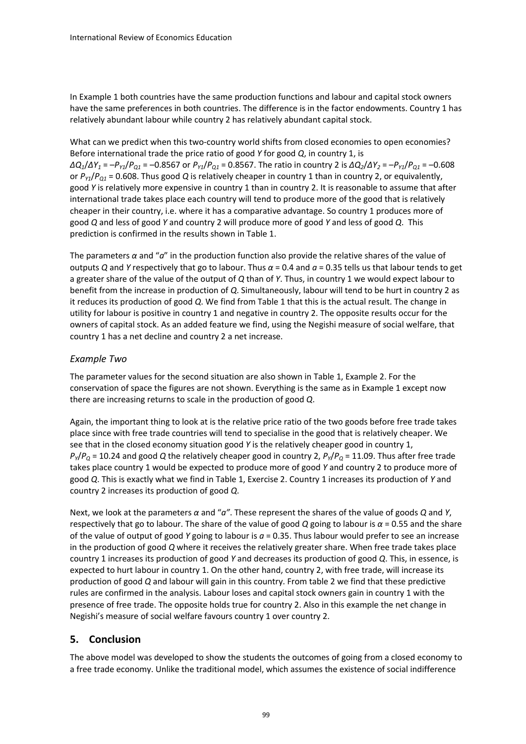In Example 1 both countries have the same production functions and labour and capital stock owners have the same preferences in both countries. The difference is in the factor endowments. Country 1 has relatively abundant labour while country 2 has relatively abundant capital stock.

What can we predict when this two-country world shifts from closed economies to open economies? Before international trade the price ratio of good *Y* for good *Q*, in country 1, is  $\Delta Q_1/\Delta Y_1 = -P_{Y_1}/P_{01} = -0.8567$  or  $P_{Y_1}/P_{01} = 0.8567$ . The ratio in country 2 is  $\Delta Q_2/\Delta Y_2 = -P_{Y_1}/P_{01} = -0.608$ or *PY1*/*PQ1* = 0.608. Thus good *Q* is relatively cheaper in country 1 than in country 2, or equivalently, good *Y* is relatively more expensive in country 1 than in country 2. It is reasonable to assume that after international trade takes place each country will tend to produce more of the good that is relatively cheaper in their country, i.e. where it has a comparative advantage. So country 1 produces more of good *Q* and less of good *Y* and country 2 will produce more of good *Y* and less of good *Q*. This prediction is confirmed in the results shown in Table 1.

The parameters *α* and "*a*" in the production function also provide the relative shares of the value of outputs *Q* and *Y* respectively that go to labour. Thus *α* = 0.4 and *a* = 0.35 tells us that labour tends to get a greater share of the value of the output of *Q* than of *Y*. Thus, in country 1 we would expect labour to benefit from the increase in production of *Q*. Simultaneously, labour will tend to be hurt in country 2 as it reduces its production of good *Q*. We find from Table 1 that this is the actual result. The change in utility for labour is positive in country 1 and negative in country 2. The opposite results occur for the owners of capital stock. As an added feature we find, using the Negishi measure of social welfare, that country 1 has a net decline and country 2 a net increase.

## *Example Two*

The parameter values for the second situation are also shown in Table 1, Example 2. For the conservation of space the figures are not shown. Everything is the same as in Example 1 except now there are increasing returns to scale in the production of good *Q*.

Again, the important thing to look at is the relative price ratio of the two goods before free trade takes place since with free trade countries will tend to specialise in the good that is relatively cheaper. We see that in the closed economy situation good *Y* is the relatively cheaper good in country 1,  $P_Y/P_Q$  = 10.24 and good *Q* the relatively cheaper good in country 2,  $P_Y/P_Q$  = 11.09. Thus after free trade takes place country 1 would be expected to produce more of good *Y* and country 2 to produce more of good *Q*. This is exactly what we find in Table 1, Exercise 2. Country 1 increases its production of *Y* and country 2 increases its production of good *Q*.

Next, we look at the parameters *α* and "*a"*. These represent the shares of the value of goods *Q* and *Y*, respectively that go to labour. The share of the value of good *Q* going to labour is *α* = 0.55 and the share of the value of output of good *Y* going to labour is *a* = 0.35. Thus labour would prefer to see an increase in the production of good *Q* where it receives the relatively greater share. When free trade takes place country 1 increases its production of good *Y* and decreases its production of good *Q*. This, in essence, is expected to hurt labour in country 1. On the other hand, country 2, with free trade, will increase its production of good *Q* and labour will gain in this country. From table 2 we find that these predictive rules are confirmed in the analysis. Labour loses and capital stock owners gain in country 1 with the presence of free trade. The opposite holds true for country 2. Also in this example the net change in Negishi's measure of social welfare favours country 1 over country 2.

# **5. Conclusion**

The above model was developed to show the students the outcomes of going from a closed economy to a free trade economy. Unlike the traditional model, which assumes the existence of social indifference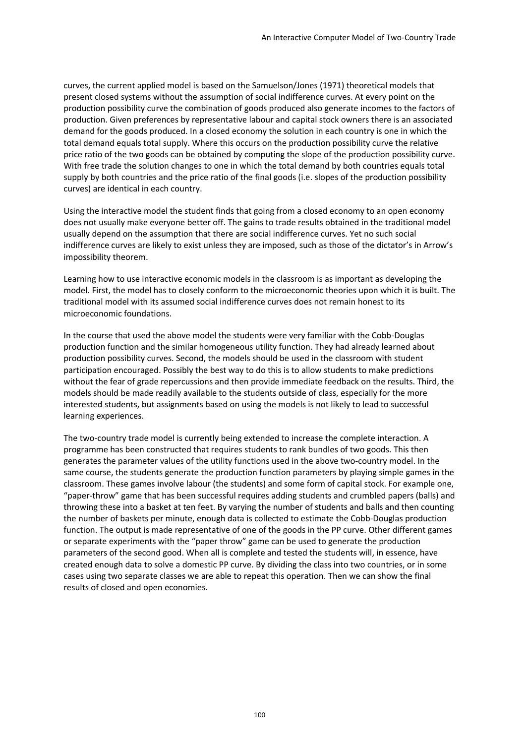curves, the current applied model is based on the Samuelson/Jones (1971) theoretical models that present closed systems without the assumption of social indifference curves. At every point on the production possibility curve the combination of goods produced also generate incomes to the factors of production. Given preferences by representative labour and capital stock owners there is an associated demand for the goods produced. In a closed economy the solution in each country is one in which the total demand equals total supply. Where this occurs on the production possibility curve the relative price ratio of the two goods can be obtained by computing the slope of the production possibility curve. With free trade the solution changes to one in which the total demand by both countries equals total supply by both countries and the price ratio of the final goods (i.e. slopes of the production possibility curves) are identical in each country.

Using the interactive model the student finds that going from a closed economy to an open economy does not usually make everyone better off. The gains to trade results obtained in the traditional model usually depend on the assumption that there are social indifference curves. Yet no such social indifference curves are likely to exist unless they are imposed, such as those of the dictator's in Arrow's impossibility theorem.

Learning how to use interactive economic models in the classroom is as important as developing the model. First, the model has to closely conform to the microeconomic theories upon which it is built. The traditional model with its assumed social indifference curves does not remain honest to its microeconomic foundations.

In the course that used the above model the students were very familiar with the Cobb-Douglas production function and the similar homogeneous utility function. They had already learned about production possibility curves. Second, the models should be used in the classroom with student participation encouraged. Possibly the best way to do this is to allow students to make predictions without the fear of grade repercussions and then provide immediate feedback on the results. Third, the models should be made readily available to the students outside of class, especially for the more interested students, but assignments based on using the models is not likely to lead to successful learning experiences.

The two-country trade model is currently being extended to increase the complete interaction. A programme has been constructed that requires students to rank bundles of two goods. This then generates the parameter values of the utility functions used in the above two-country model. In the same course, the students generate the production function parameters by playing simple games in the classroom. These games involve labour (the students) and some form of capital stock. For example one, "paper-throw" game that has been successful requires adding students and crumbled papers (balls) and throwing these into a basket at ten feet. By varying the number of students and balls and then counting the number of baskets per minute, enough data is collected to estimate the Cobb-Douglas production function. The output is made representative of one of the goods in the PP curve. Other different games or separate experiments with the "paper throw" game can be used to generate the production parameters of the second good. When all is complete and tested the students will, in essence, have created enough data to solve a domestic PP curve. By dividing the class into two countries, or in some cases using two separate classes we are able to repeat this operation. Then we can show the final results of closed and open economies.